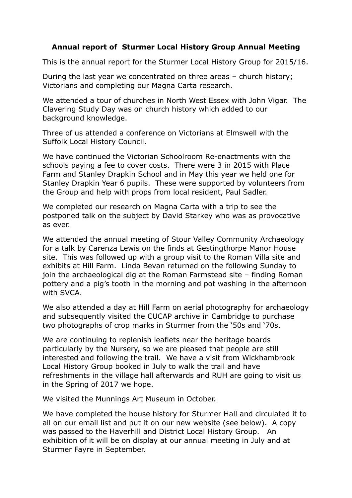## **Annual report of Sturmer Local History Group Annual Meeting**

This is the annual report for the Sturmer Local History Group for 2015/16.

During the last year we concentrated on three areas – church history; Victorians and completing our Magna Carta research.

We attended a tour of churches in North West Essex with John Vigar. The Clavering Study Day was on church history which added to our background knowledge.

Three of us attended a conference on Victorians at Elmswell with the Suffolk Local History Council.

We have continued the Victorian Schoolroom Re-enactments with the schools paying a fee to cover costs. There were 3 in 2015 with Place Farm and Stanley Drapkin School and in May this year we held one for Stanley Drapkin Year 6 pupils. These were supported by volunteers from the Group and help with props from local resident, Paul Sadler.

We completed our research on Magna Carta with a trip to see the postponed talk on the subject by David Starkey who was as provocative as ever.

We attended the annual meeting of Stour Valley Community Archaeology for a talk by Carenza Lewis on the finds at Gestingthorpe Manor House site. This was followed up with a group visit to the Roman Villa site and exhibits at Hill Farm. Linda Bevan returned on the following Sunday to join the archaeological dig at the Roman Farmstead site – finding Roman pottery and a pig's tooth in the morning and pot washing in the afternoon with SVCA.

We also attended a day at Hill Farm on aerial photography for archaeology and subsequently visited the CUCAP archive in Cambridge to purchase two photographs of crop marks in Sturmer from the '50s and '70s.

We are continuing to replenish leaflets near the heritage boards particularly by the Nursery, so we are pleased that people are still interested and following the trail. We have a visit from Wickhambrook Local History Group booked in July to walk the trail and have refreshments in the village hall afterwards and RUH are going to visit us in the Spring of 2017 we hope.

We visited the Munnings Art Museum in October.

We have completed the house history for Sturmer Hall and circulated it to all on our email list and put it on our new website (see below). A copy was passed to the Haverhill and District Local History Group. An exhibition of it will be on display at our annual meeting in July and at Sturmer Fayre in September.